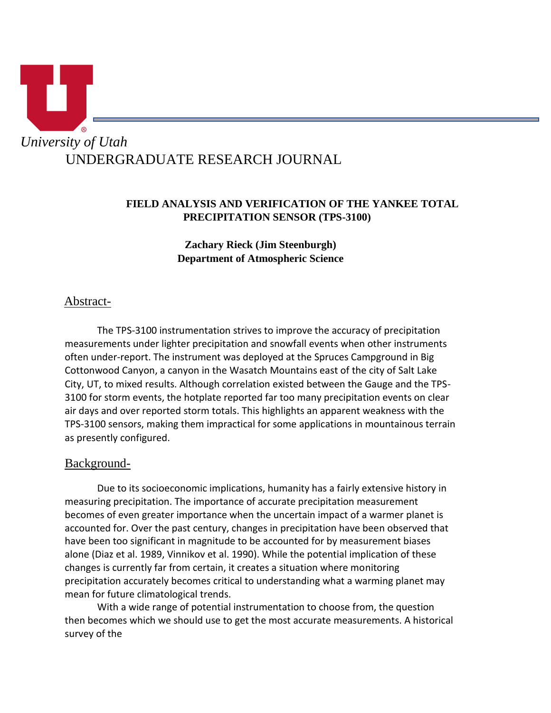

## **FIELD ANALYSIS AND VERIFICATION OF THE YANKEE TOTAL PRECIPITATION SENSOR (TPS-3100)**

**Zachary Rieck (Jim Steenburgh) Department of Atmospheric Science** 

# Abstract-

 The TPS-3100 instrumentation strives to improve the accuracy of precipitation measurements under lighter precipitation and snowfall events when other instruments often under-report. The instrument was deployed at the Spruces Campground in Big Cottonwood Canyon, a canyon in the Wasatch Mountains east of the city of Salt Lake City, UT, to mixed results. Although correlation existed between the Gauge and the TPS-3100 for storm events, the hotplate reported far too many precipitation events on clear air days and over reported storm totals. This highlights an apparent weakness with the TPS-3100 sensors, making them impractical for some applications in mountainous terrain as presently configured.

## Background-

 Due to its socioeconomic implications, humanity has a fairly extensive history in measuring precipitation. The importance of accurate precipitation measurement becomes of even greater importance when the uncertain impact of a warmer planet is accounted for. Over the past century, changes in precipitation have been observed that have been too significant in magnitude to be accounted for by measurement biases alone (Diaz et al. 1989, Vinnikov et al. 1990). While the potential implication of these changes is currently far from certain, it creates a situation where monitoring precipitation accurately becomes critical to understanding what a warming planet may mean for future climatological trends.

 With a wide range of potential instrumentation to choose from, the question then becomes which we should use to get the most accurate measurements. A historical survey of the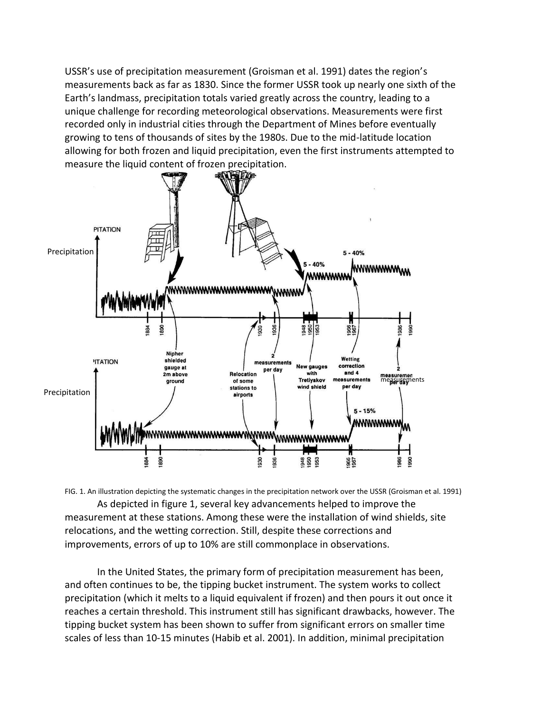USSR's use of precipitation measurement (Groisman et al. 1991) dates the region's measurements back as far as 1830. Since the former USSR took up nearly one sixth of the Earth's landmass, precipitation totals varied greatly across the country, leading to a unique challenge for recording meteorological observations. Measurements were first recorded only in industrial cities through the Department of Mines before eventually growing to tens of thousands of sites by the 1980s. Due to the mid-latitude location allowing for both frozen and liquid precipitation, even the first instruments attempted to measure the liquid content of frozen precipitation.



FIG. 1. An illustration depicting the systematic changes in the precipitation network over the USSR (Groisman et al. 1991) As depicted in figure 1, several key advancements helped to improve the measurement at these stations. Among these were the installation of wind shields, site relocations, and the wetting correction. Still, despite these corrections and improvements, errors of up to 10% are still commonplace in observations.

 In the United States, the primary form of precipitation measurement has been, and often continues to be, the tipping bucket instrument. The system works to collect precipitation (which it melts to a liquid equivalent if frozen) and then pours it out once it reaches a certain threshold. This instrument still has significant drawbacks, however. The tipping bucket system has been shown to suffer from significant errors on smaller time scales of less than 10-15 minutes (Habib et al. 2001). In addition, minimal precipitation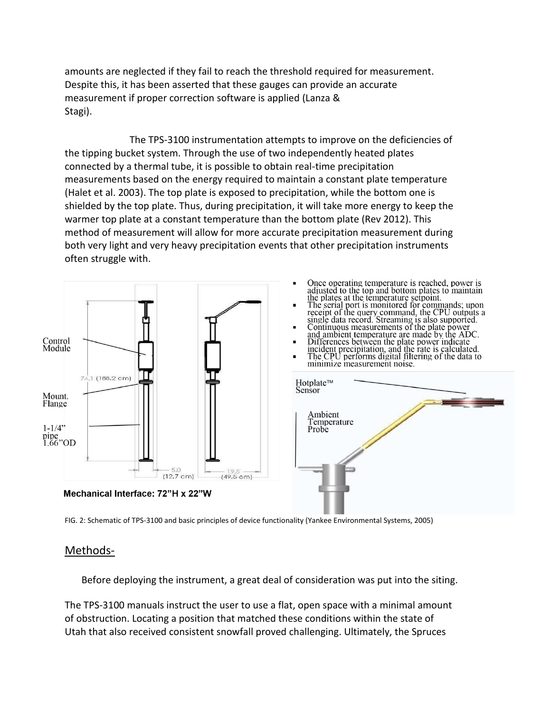amounts are neglected if they fail to reach the threshold required for measurement. Despite this, it has been asserted that these gauges can provide an accurate measurement if proper correction software is applied (Lanza & Stagi).

The TPS-3100 instrumentation attempts to improve on the deficiencies of the tipping bucket system. Through the use of two independently heated plates connected by a thermal tube, it is possible to obtain real-time precipitation measurements based on the energy required to maintain a constant plate temperature (Halet et al. 2003). The top plate is exposed to precipitation, while the bottom one is shielded by the top plate. Thus, during precipitation, it will take more energy to keep the warmer top plate at a constant temperature than the bottom plate (Rev 2012). This method of measurement will allow for more accurate precipitation measurement during both very light and very heavy precipitation events that other precipitation instruments often struggle with.



FIG. 2: Schematic of TPS-3100 and basic principles of device functionality (Yankee Environmental Systems, 2005)

## Methods-

Before deploying the instrument, a great deal of consideration was put into the siting.

The TPS-3100 manuals instruct the user to use a flat, open space with a minimal amount of obstruction. Locating a position that matched these conditions within the state of Utah that also received consistent snowfall proved challenging. Ultimately, the Spruces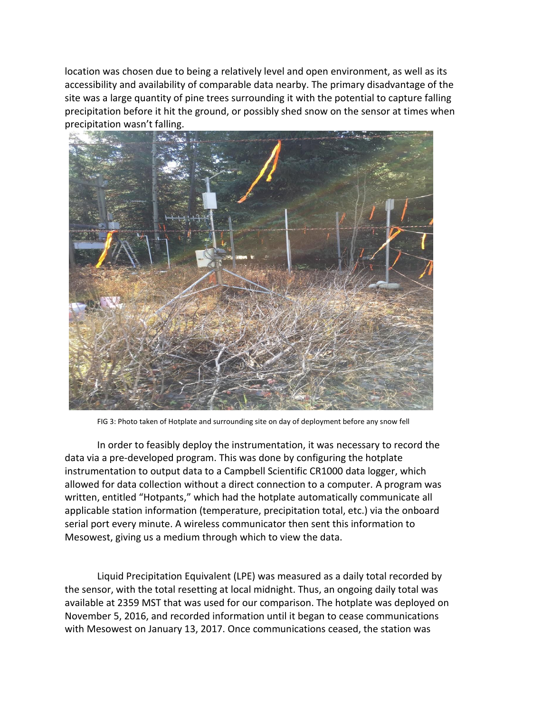location was chosen due to being a relatively level and open environment, as well as its accessibility and availability of comparable data nearby. The primary disadvantage of the site was a large quantity of pine trees surrounding it with the potential to capture falling precipitation before it hit the ground, or possibly shed snow on the sensor at times when precipitation wasn't falling.



FIG 3: Photo taken of Hotplate and surrounding site on day of deployment before any snow fell

In order to feasibly deploy the instrumentation, it was necessary to record the data via a pre-developed program. This was done by configuring the hotplate instrumentation to output data to a Campbell Scientific CR1000 data logger, which allowed for data collection without a direct connection to a computer. A program was written, entitled "Hotpants," which had the hotplate automatically communicate all applicable station information (temperature, precipitation total, etc.) via the onboard serial port every minute. A wireless communicator then sent this information to Mesowest, giving us a medium through which to view the data.

Liquid Precipitation Equivalent (LPE) was measured as a daily total recorded by the sensor, with the total resetting at local midnight. Thus, an ongoing daily total was available at 2359 MST that was used for our comparison. The hotplate was deployed on November 5, 2016, and recorded information until it began to cease communications with Mesowest on January 13, 2017. Once communications ceased, the station was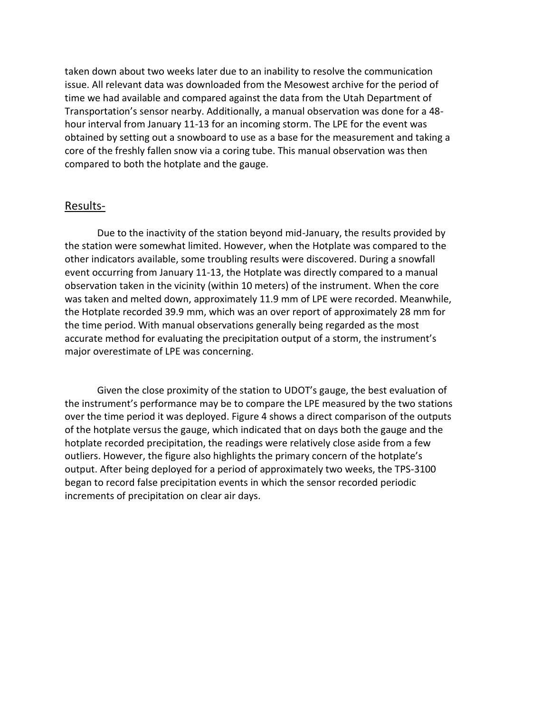taken down about two weeks later due to an inability to resolve the communication issue. All relevant data was downloaded from the Mesowest archive for the period of time we had available and compared against the data from the Utah Department of Transportation's sensor nearby. Additionally, a manual observation was done for a 48 hour interval from January 11-13 for an incoming storm. The LPE for the event was obtained by setting out a snowboard to use as a base for the measurement and taking a core of the freshly fallen snow via a coring tube. This manual observation was then compared to both the hotplate and the gauge.

#### Results-

Due to the inactivity of the station beyond mid-January, the results provided by the station were somewhat limited. However, when the Hotplate was compared to the other indicators available, some troubling results were discovered. During a snowfall event occurring from January 11-13, the Hotplate was directly compared to a manual observation taken in the vicinity (within 10 meters) of the instrument. When the core was taken and melted down, approximately 11.9 mm of LPE were recorded. Meanwhile, the Hotplate recorded 39.9 mm, which was an over report of approximately 28 mm for the time period. With manual observations generally being regarded as the most accurate method for evaluating the precipitation output of a storm, the instrument's major overestimate of LPE was concerning.

Given the close proximity of the station to UDOT's gauge, the best evaluation of the instrument's performance may be to compare the LPE measured by the two stations over the time period it was deployed. Figure 4 shows a direct comparison of the outputs of the hotplate versus the gauge, which indicated that on days both the gauge and the hotplate recorded precipitation, the readings were relatively close aside from a few outliers. However, the figure also highlights the primary concern of the hotplate's output. After being deployed for a period of approximately two weeks, the TPS-3100 began to record false precipitation events in which the sensor recorded periodic increments of precipitation on clear air days.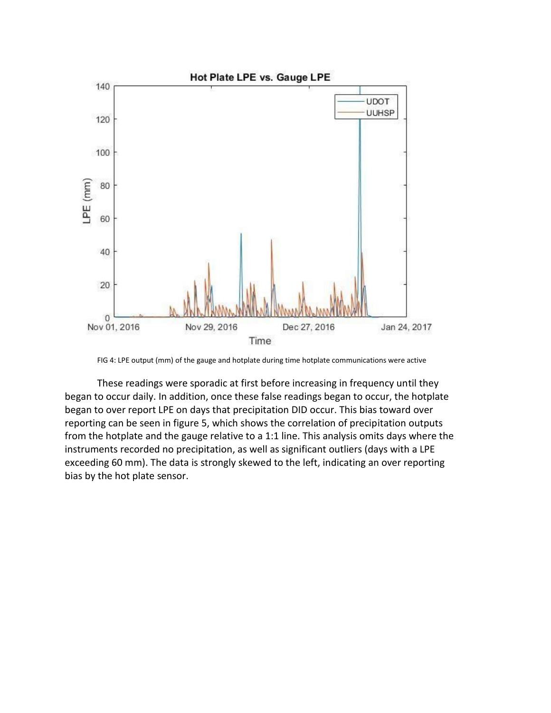

FIG 4: LPE output (mm) of the gauge and hotplate during time hotplate communications were active

These readings were sporadic at first before increasing in frequency until they began to occur daily. In addition, once these false readings began to occur, the hotplate began to over report LPE on days that precipitation DID occur. This bias toward over reporting can be seen in figure 5, which shows the correlation of precipitation outputs from the hotplate and the gauge relative to a 1:1 line. This analysis omits days where the instruments recorded no precipitation, as well as significant outliers (days with a LPE exceeding 60 mm). The data is strongly skewed to the left, indicating an over reporting bias by the hot plate sensor.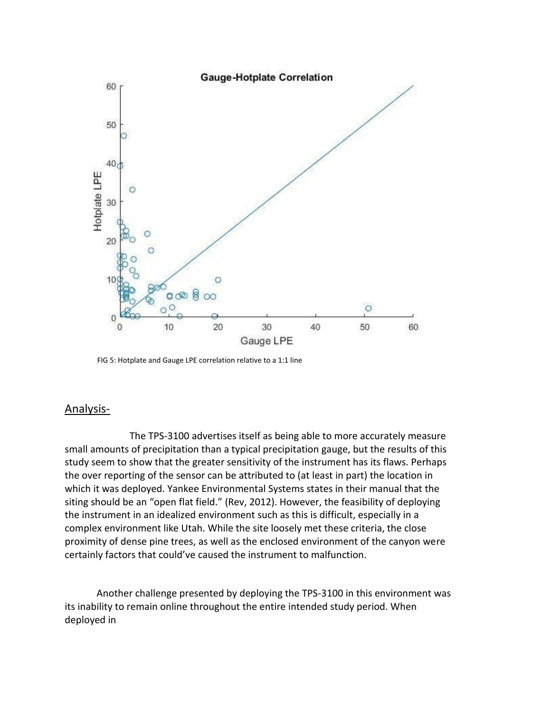

FIG 5: Hotplate and Gauge LPE correlation relative to a 1:1 line

#### Analysis-

The TPS-3100 advertises itself as being able to more accurately measure small amounts of precipitation than a typical precipitation gauge, but the results of this study seem to show that the greater sensitivity of the instrument has its flaws. Perhaps the over reporting of the sensor can be attributed to (at least in part) the location in which it was deployed. Yankee Environmental Systems states in their manual that the siting should be an "open flat field." (Rev, 2012). However, the feasibility of deploying the instrument in an idealized environment such as this is difficult, especially in a complex environment like Utah. While the site loosely met these criteria, the close proximity of dense pine trees, as well as the enclosed environment of the canyon were certainly factors that could've caused the instrument to malfunction.

Another challenge presented by deploying the TPS-3100 in this environment was its inability to remain online throughout the entire intended study period. When deployed in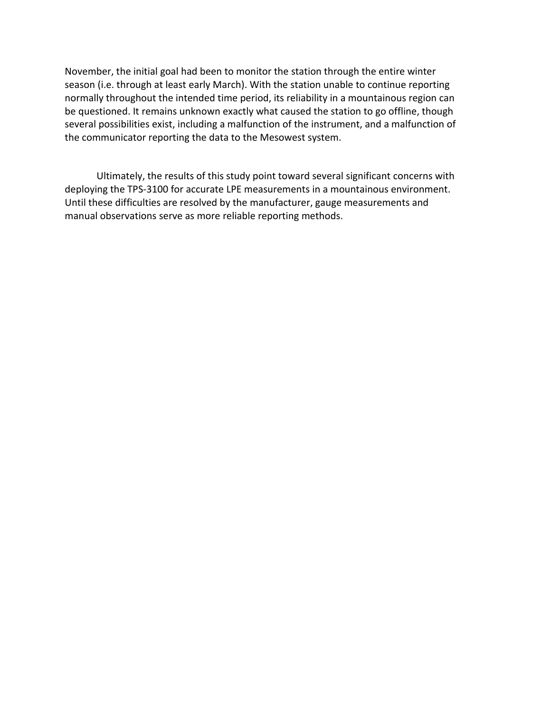November, the initial goal had been to monitor the station through the entire winter season (i.e. through at least early March). With the station unable to continue reporting normally throughout the intended time period, its reliability in a mountainous region can be questioned. It remains unknown exactly what caused the station to go offline, though several possibilities exist, including a malfunction of the instrument, and a malfunction of the communicator reporting the data to the Mesowest system.

Ultimately, the results of this study point toward several significant concerns with deploying the TPS-3100 for accurate LPE measurements in a mountainous environment. Until these difficulties are resolved by the manufacturer, gauge measurements and manual observations serve as more reliable reporting methods.